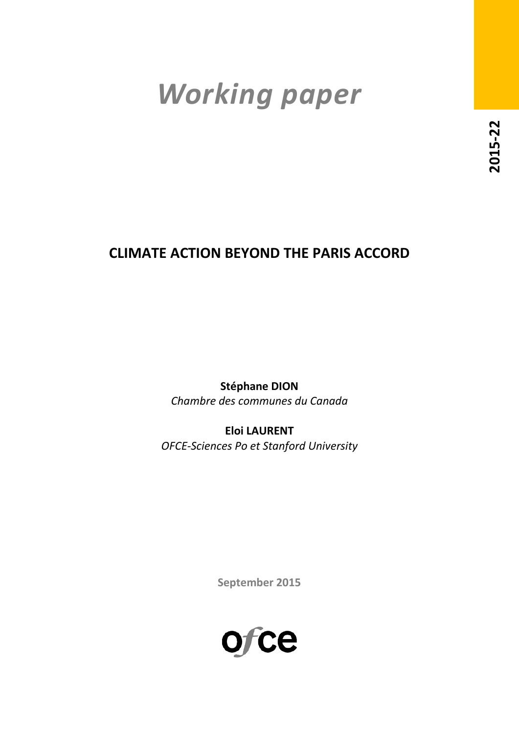# *Working paper*

# **CLIMATE ACTION BEYOND THE PARIS ACCORD**

**Stéphane DION** *Chambre des communes du Canada*

**Eloi LAURENT** *OFCE-Sciences Po et Stanford University*

**September 2015**

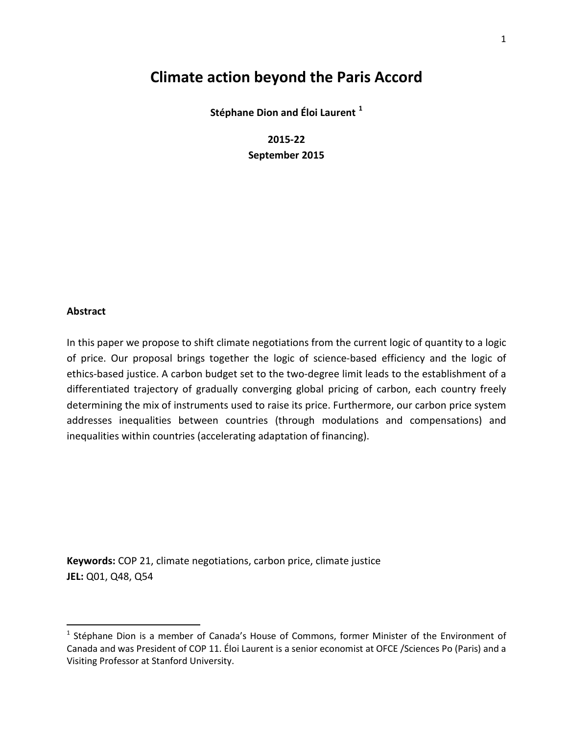# **Climate action beyond the Paris Accord**

**Stéphane Dion and Éloi Laurent [1](#page-1-0)**

**2015-22 September 2015**

#### **Abstract**

In this paper we propose to shift climate negotiations from the current logic of quantity to a logic of price. Our proposal brings together the logic of science-based efficiency and the logic of ethics-based justice. A carbon budget set to the two-degree limit leads to the establishment of a differentiated trajectory of gradually converging global pricing of carbon, each country freely determining the mix of instruments used to raise its price. Furthermore, our carbon price system addresses inequalities between countries (through modulations and compensations) and inequalities within countries (accelerating adaptation of financing).

**Keywords:** COP 21, climate negotiations, carbon price, climate justice **JEL:** Q01, Q48, Q54

<span id="page-1-0"></span><sup>&</sup>lt;sup>1</sup> Stéphane Dion is a member of Canada's House of Commons, former Minister of the Environment of Canada and was President of COP 11. Éloi Laurent is a senior economist at OFCE /Sciences Po (Paris) and a Visiting Professor at Stanford University.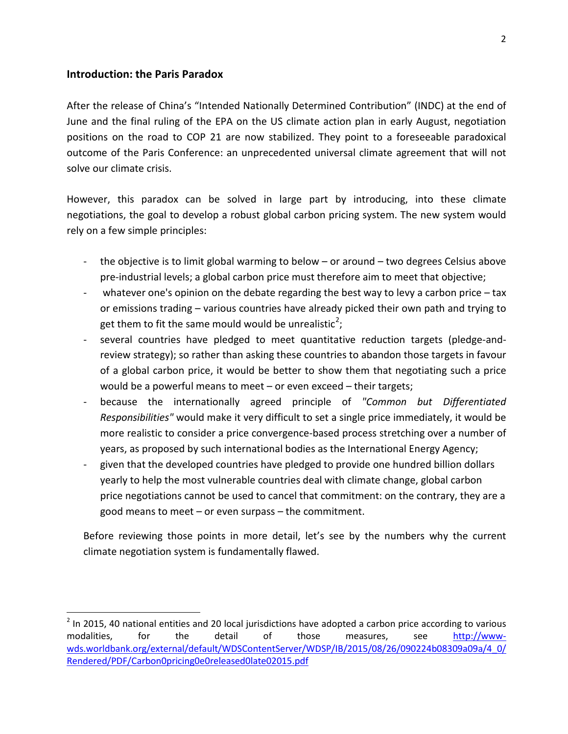#### **Introduction: the Paris Paradox**

After the release of China's "Intended Nationally Determined Contribution" (INDC) at the end of June and the final ruling of the EPA on the US climate action plan in early August, negotiation positions on the road to COP 21 are now stabilized. They point to a foreseeable paradoxical outcome of the Paris Conference: an unprecedented universal climate agreement that will not solve our climate crisis.

However, this paradox can be solved in large part by introducing, into these climate negotiations, the goal to develop a robust global carbon pricing system. The new system would rely on a few simple principles:

- the objective is to limit global warming to below or around two degrees Celsius above pre-industrial levels; a global carbon price must therefore aim to meet that objective;
- whatever one's opinion on the debate regarding the best way to levy a carbon price  $-$  tax or emissions trading – various countries have already picked their own path and trying to get them to fit the same mould would be unrealistic<sup>[2](#page-2-0)</sup>;
- several countries have pledged to meet quantitative reduction targets (pledge-andreview strategy); so rather than asking these countries to abandon those targets in favour of a global carbon price, it would be better to show them that negotiating such a price would be a powerful means to meet – or even exceed – their targets;
- because the internationally agreed principle of *"Common but Differentiated Responsibilities"* would make it very difficult to set a single price immediately, it would be more realistic to consider a price convergence-based process stretching over a number of years, as proposed by such international bodies as the International Energy Agency;
- given that the developed countries have pledged to provide one hundred billion dollars yearly to help the most vulnerable countries deal with climate change, global carbon price negotiations cannot be used to cancel that commitment: on the contrary, they are a good means to meet – or even surpass – the commitment.

Before reviewing those points in more detail, let's see by the numbers why the current climate negotiation system is fundamentally flawed.

<span id="page-2-0"></span> $2$  In 2015, 40 national entities and 20 local jurisdictions have adopted a carbon price according to various modalities, for the detail of those measures, see [http://www](http://www-wds.worldbank.org/external/default/WDSContentServer/WDSP/IB/2015/08/26/090224b08309a09a/4_0/Rendered/PDF/Carbon0pricing0e0released0late02015.pdf)[wds.worldbank.org/external/default/WDSContentServer/WDSP/IB/2015/08/26/090224b08309a09a/4\\_0/](http://www-wds.worldbank.org/external/default/WDSContentServer/WDSP/IB/2015/08/26/090224b08309a09a/4_0/Rendered/PDF/Carbon0pricing0e0released0late02015.pdf) [Rendered/PDF/Carbon0pricing0e0released0late02015.pdf](http://www-wds.worldbank.org/external/default/WDSContentServer/WDSP/IB/2015/08/26/090224b08309a09a/4_0/Rendered/PDF/Carbon0pricing0e0released0late02015.pdf)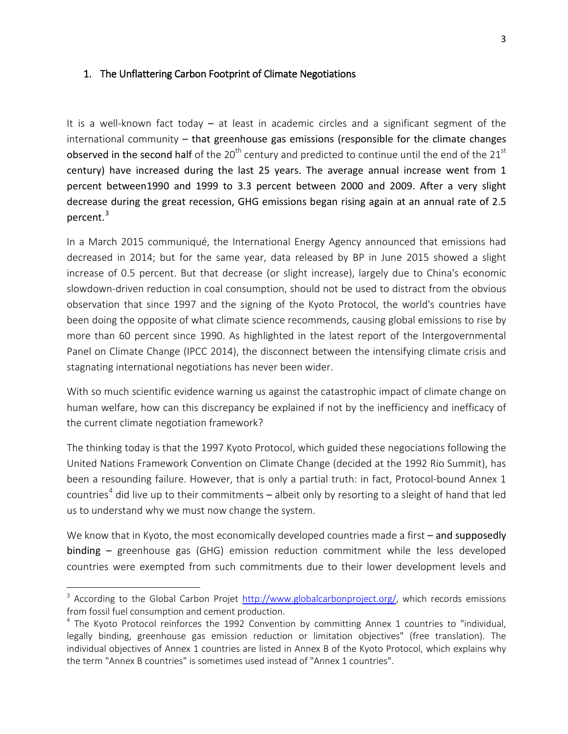### 1. The Unflattering Carbon Footprint of Climate Negotiations

It is a well-known fact today – at least in academic circles and a significant segment of the international community  $-$  that greenhouse gas emissions (responsible for the climate changes observed in the second half of the  $20<sup>th</sup>$  century and predicted to continue until the end of the  $21<sup>st</sup>$ century) have increased during the last 25 years. The average annual increase went from 1 percent between1990 and 1999 to 3.3 percent between 2000 and 2009. After a very slight decrease during the great recession, GHG emissions began rising again at an annual rate of 2.5 percent.<sup>[3](#page-3-0)</sup>

In a March 2015 communiqué, the International Energy Agency announced that emissions had decreased in 2014; but for the same year, data released by BP in June 2015 showed a slight increase of 0.5 percent. But that decrease (or slight increase), largely due to China's economic slowdown-driven reduction in coal consumption, should not be used to distract from the obvious observation that since 1997 and the signing of the Kyoto Protocol, the world's countries have been doing the opposite of what climate science recommends, causing global emissions to rise by more than 60 percent since 1990. As highlighted in the latest report of the Intergovernmental Panel on Climate Change (IPCC 2014), the disconnect between the intensifying climate crisis and stagnating international negotiations has never been wider.

With so much scientific evidence warning us against the catastrophic impact of climate change on human welfare, how can this discrepancy be explained if not by the inefficiency and inefficacy of the current climate negotiation framework?

The thinking today is that the 1997 Kyoto Protocol, which guided these negociations following the United Nations Framework Convention on Climate Change (decided at the 1992 Rio Summit), has been a resounding failure. However, that is only a partial truth: in fact, Protocol-bound Annex 1 countries<sup>[4](#page-3-1)</sup> did live up to their commitments  $-$  albeit only by resorting to a sleight of hand that led us to understand why we must now change the system.

We know that in Kyoto, the most economically developed countries made a first – and supposedly binding – greenhouse gas (GHG) emission reduction commitment while the less developed countries were exempted from such commitments due to their lower development levels and

l

<span id="page-3-0"></span><sup>&</sup>lt;sup>3</sup> According to the Global Carbon Projet [http://www.globalcarbonproject.org/,](http://www.globalcarbonproject.org/) which records emissions from fossil fuel consumption and cement production.

<span id="page-3-1"></span> $4$  The Kyoto Protocol reinforces the 1992 Convention by committing Annex 1 countries to "individual, legally binding, greenhouse gas emission reduction or limitation objectives" (free translation). The individual objectives of Annex 1 countries are listed in Annex B of the Kyoto Protocol, which explains why the term "Annex B countries" is sometimes used instead of "Annex 1 countries".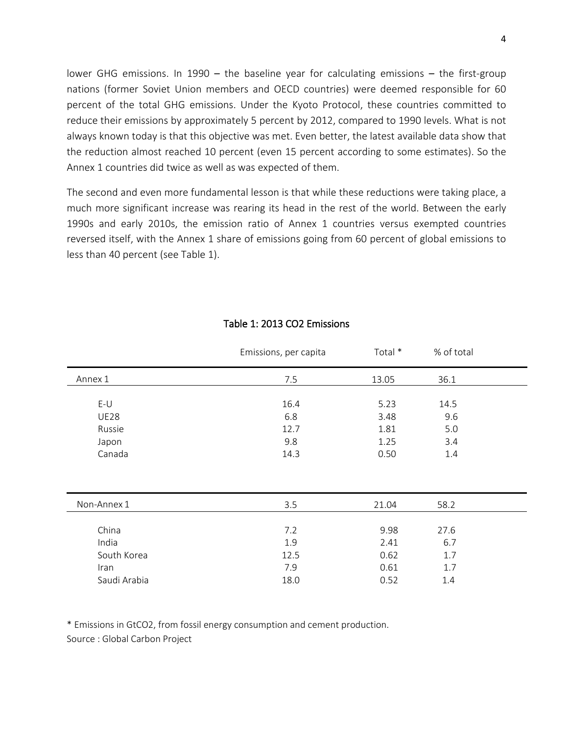lower GHG emissions. In 1990 – the baseline year for calculating emissions – the first-group nations (former Soviet Union members and OECD countries) were deemed responsible for 60 percent of the total GHG emissions. Under the Kyoto Protocol, these countries committed to reduce their emissions by approximately 5 percent by 2012, compared to 1990 levels. What is not always known today is that this objective was met. Even better, the latest available data show that the reduction almost reached 10 percent (even 15 percent according to some estimates). So the Annex 1 countries did twice as well as was expected of them.

The second and even more fundamental lesson is that while these reductions were taking place, a much more significant increase was rearing its head in the rest of the world. Between the early 1990s and early 2010s, the emission ratio of Annex 1 countries versus exempted countries reversed itself, with the Annex 1 share of emissions going from 60 percent of global emissions to less than 40 percent (see Table 1).

|              | Emissions, per capita | Total * | % of total |  |
|--------------|-----------------------|---------|------------|--|
| Annex 1      | 7.5                   | 13.05   | 36.1       |  |
|              |                       |         |            |  |
| $E-U$        | 16.4                  | 5.23    | 14.5       |  |
| <b>UE28</b>  | 6.8                   | 3.48    | 9.6        |  |
| Russie       | 12.7                  | 1.81    | 5.0        |  |
| Japon        | 9.8                   | 1.25    | 3.4        |  |
| Canada       | 14.3                  | 0.50    | 1.4        |  |
|              |                       |         |            |  |
| Non-Annex 1  | 3.5                   | 21.04   | 58.2       |  |
|              |                       |         |            |  |
| China        | 7.2                   | 9.98    | 27.6       |  |
| India        | 1.9                   | 2.41    | 6.7        |  |
| South Korea  | 12.5                  | 0.62    | 1.7        |  |
| Iran         | 7.9                   | 0.61    | 1.7        |  |
| Saudi Arabia | 18.0                  | 0.52    | 1.4        |  |

#### Table 1: 2013 CO2 Emissions

\* Emissions in GtCO2, from fossil energy consumption and cement production. Source : Global Carbon Project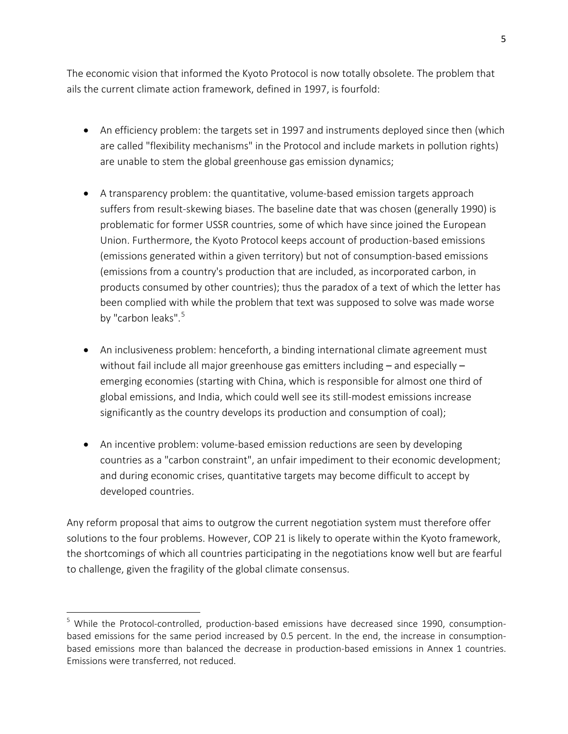The economic vision that informed the Kyoto Protocol is now totally obsolete. The problem that ails the current climate action framework, defined in 1997, is fourfold:

- An efficiency problem: the targets set in 1997 and instruments deployed since then (which are called "flexibility mechanisms" in the Protocol and include markets in pollution rights) are unable to stem the global greenhouse gas emission dynamics;
- A transparency problem: the quantitative, volume-based emission targets approach suffers from result-skewing biases. The baseline date that was chosen (generally 1990) is problematic for former USSR countries, some of which have since joined the European Union. Furthermore, the Kyoto Protocol keeps account of production-based emissions (emissions generated within a given territory) but not of consumption-based emissions (emissions from a country's production that are included, as incorporated carbon, in products consumed by other countries); thus the paradox of a text of which the letter has been complied with while the problem that text was supposed to solve was made worse by "carbon leaks".<sup>[5](#page-5-0)</sup>
- An inclusiveness problem: henceforth, a binding international climate agreement must without fail include all major greenhouse gas emitters including – and especially – emerging economies (starting with China, which is responsible for almost one third of global emissions, and India, which could well see its still-modest emissions increase significantly as the country develops its production and consumption of coal);
- An incentive problem: volume-based emission reductions are seen by developing countries as a "carbon constraint", an unfair impediment to their economic development; and during economic crises, quantitative targets may become difficult to accept by developed countries.

Any reform proposal that aims to outgrow the current negotiation system must therefore offer solutions to the four problems. However, COP 21 is likely to operate within the Kyoto framework, the shortcomings of which all countries participating in the negotiations know well but are fearful to challenge, given the fragility of the global climate consensus.

 $\overline{\phantom{a}}$ 

<span id="page-5-0"></span><sup>&</sup>lt;sup>5</sup> While the Protocol-controlled, production-based emissions have decreased since 1990, consumptionbased emissions for the same period increased by 0.5 percent. In the end, the increase in consumptionbased emissions more than balanced the decrease in production-based emissions in Annex 1 countries. Emissions were transferred, not reduced.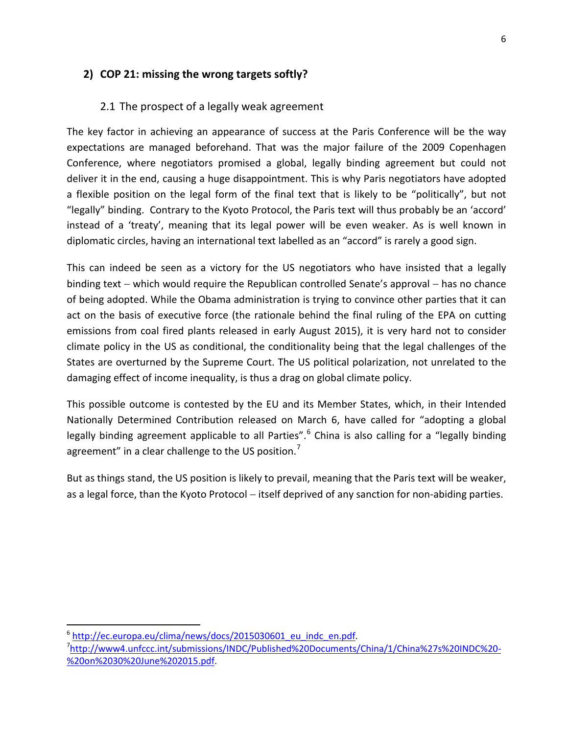# **2) COP 21: missing the wrong targets softly?**

## 2.1 The prospect of a legally weak agreement

The key factor in achieving an appearance of success at the Paris Conference will be the way expectations are managed beforehand. That was the major failure of the 2009 Copenhagen Conference, where negotiators promised a global, legally binding agreement but could not deliver it in the end, causing a huge disappointment. This is why Paris negotiators have adopted a flexible position on the legal form of the final text that is likely to be "politically", but not "legally" binding. Contrary to the Kyoto Protocol, the Paris text will thus probably be an 'accord' instead of a 'treaty', meaning that its legal power will be even weaker. As is well known in diplomatic circles, having an international text labelled as an "accord" is rarely a good sign.

This can indeed be seen as a victory for the US negotiators who have insisted that a legally binding text − which would require the Republican controlled Senate's approval − has no chance of being adopted. While the Obama administration is trying to convince other parties that it can act on the basis of executive force (the rationale behind the final ruling of the EPA on cutting emissions from coal fired plants released in early August 2015), it is very hard not to consider climate policy in the US as conditional, the conditionality being that the legal challenges of the States are overturned by the Supreme Court. The US political polarization, not unrelated to the damaging effect of income inequality, is thus a drag on global climate policy.

This possible outcome is contested by the EU and its Member States, which, in their Intended Nationally Determined Contribution released on March 6, have called for "adopting a global legally binding agreement applicable to all Parties".<sup>[6](#page-6-0)</sup> China is also calling for a "legally binding agreement" in a clear challenge to the US position.<sup>[7](#page-6-1)</sup>

But as things stand, the US position is likely to prevail, meaning that the Paris text will be weaker, as a legal force, than the Kyoto Protocol – itself deprived of any sanction for non-abiding parties.

<span id="page-6-0"></span><sup>&</sup>lt;sup>6</sup> http://ec.europa.eu/clima/news/docs/2015030601\_eu\_indc\_en.pdf.

<span id="page-6-1"></span><sup>7</sup> [http://www4.unfccc.int/submissions/INDC/Published%20Documents/China/1/China%27s%20INDC%20-](http://www4.unfccc.int/submissions/INDC/Published%20Documents/China/1/China%27s%20INDC%20-%20on%2030%20June%202015.pdf) [%20on%2030%20June%202015.pdf.](http://www4.unfccc.int/submissions/INDC/Published%20Documents/China/1/China%27s%20INDC%20-%20on%2030%20June%202015.pdf)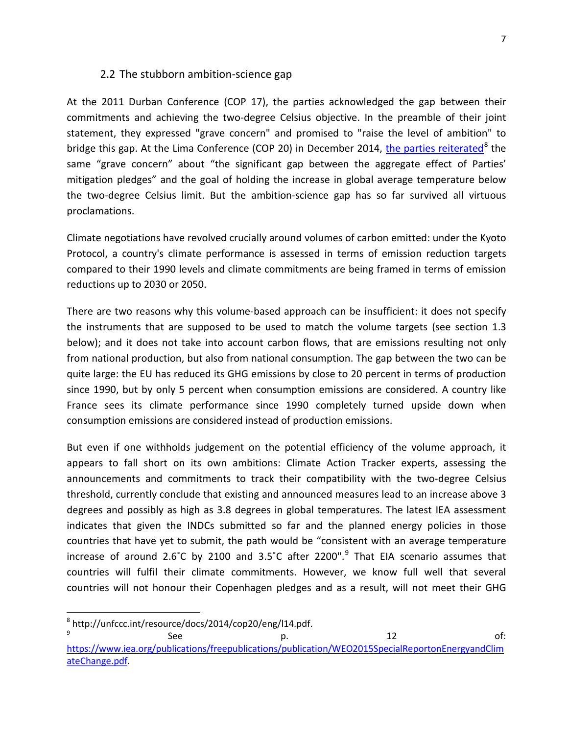#### 2.2 The stubborn ambition-science gap

At the 2011 Durban Conference (COP 17), the parties acknowledged the gap between their commitments and achieving the two-degree Celsius objective. In the preamble of their joint statement, they expressed "grave concern" and promised to "raise the level of ambition" to bridge this gap. At the Lima Conference (COP 20) in December 2014, the parties [reiterated](http://unfccc.int/resource/docs/2014/cop20/eng/l14.pdf)<sup>[8](#page-7-0)</sup> the same "grave concern" about "the significant gap between the aggregate effect of Parties' mitigation pledges" and the goal of holding the increase in global average temperature below the two-degree Celsius limit. But the ambition-science gap has so far survived all virtuous proclamations.

Climate negotiations have revolved crucially around volumes of carbon emitted: under the Kyoto Protocol, a country's climate performance is assessed in terms of emission reduction targets compared to their 1990 levels and climate commitments are being framed in terms of emission reductions up to 2030 or 2050.

There are two reasons why this volume-based approach can be insufficient: it does not specify the instruments that are supposed to be used to match the volume targets (see section 1.3 below); and it does not take into account carbon flows, that are emissions resulting not only from national production, but also from national consumption. The gap between the two can be quite large: the EU has reduced its GHG emissions by close to 20 percent in terms of production since 1990, but by only 5 percent when consumption emissions are considered. A country like France sees its climate performance since 1990 completely turned upside down when consumption emissions are considered instead of production emissions.

But even if one withholds judgement on the potential efficiency of the volume approach, it appears to fall short on its own ambitions: Climate Action Tracker experts, assessing the announcements and commitments to track their compatibility with the two-degree Celsius threshold, currently conclude that existing and announced measures lead to an increase above 3 degrees and possibly as high as 3.8 degrees in global temperatures. The latest IEA assessment indicates that given the INDCs submitted so far and the planned energy policies in those countries that have yet to submit, the path would be "consistent with an average temperature increase of around 2.6°C by 2100 and 3.5°C after 2200".<sup>[9](#page-7-1)</sup> That EIA scenario assumes that countries will fulfil their climate commitments. However, we know full well that several countries will not honour their Copenhagen pledges and as a result, will not meet their GHG

<span id="page-7-0"></span> <sup>8</sup> http://unfccc.int/resource/docs/2014/cop20/eng/l14.pdf.

<span id="page-7-1"></span> $9$  See p. 12 of: [https://www.iea.org/publications/freepublications/publication/WEO2015SpecialReportonEnergyandClim](https://www.iea.org/publications/freepublications/publication/WEO2015SpecialReportonEnergyandClimateChange.pdf) [ateChange.pdf.](https://www.iea.org/publications/freepublications/publication/WEO2015SpecialReportonEnergyandClimateChange.pdf)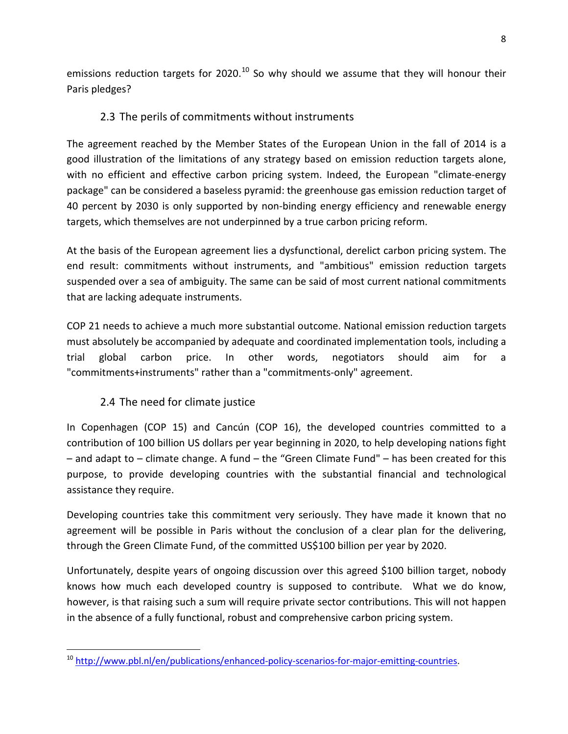emissions reduction targets for 2020. $^{10}$  $^{10}$  $^{10}$  So why should we assume that they will honour their Paris pledges?

# 2.3 The perils of commitments without instruments

The agreement reached by the Member States of the European Union in the fall of 2014 is a good illustration of the limitations of any strategy based on emission reduction targets alone, with no efficient and effective carbon pricing system. Indeed, the European "climate-energy package" can be considered a baseless pyramid: the greenhouse gas emission reduction target of 40 percent by 2030 is only supported by non-binding energy efficiency and renewable energy targets, which themselves are not underpinned by a true carbon pricing reform.

At the basis of the European agreement lies a dysfunctional, derelict carbon pricing system. The end result: commitments without instruments, and "ambitious" emission reduction targets suspended over a sea of ambiguity. The same can be said of most current national commitments that are lacking adequate instruments.

COP 21 needs to achieve a much more substantial outcome. National emission reduction targets must absolutely be accompanied by adequate and coordinated implementation tools, including a trial global carbon price. In other words, negotiators should aim for a "commitments+instruments" rather than a "commitments-only" agreement.

# 2.4 The need for climate justice

In Copenhagen (COP 15) and Cancún (COP 16), the developed countries committed to a contribution of 100 billion US dollars per year beginning in 2020, to help developing nations fight – and adapt to – climate change. A fund – the "Green Climate Fund" – has been created for this purpose, to provide developing countries with the substantial financial and technological assistance they require.

Developing countries take this commitment very seriously. They have made it known that no agreement will be possible in Paris without the conclusion of a clear plan for the delivering, through the Green Climate Fund, of the committed US\$100 billion per year by 2020.

Unfortunately, despite years of ongoing discussion over this agreed \$100 billion target, nobody knows how much each developed country is supposed to contribute. What we do know, however, is that raising such a sum will require private sector contributions. This will not happen in the absence of a fully functional, robust and comprehensive carbon pricing system.

<span id="page-8-0"></span><sup>&</sup>lt;sup>10</sup> [http://www.pbl.nl/en/publications/enhanced-policy-scenarios-for-major-emitting-countries.](http://www.pbl.nl/en/publications/enhanced-policy-scenarios-for-major-emitting-countries)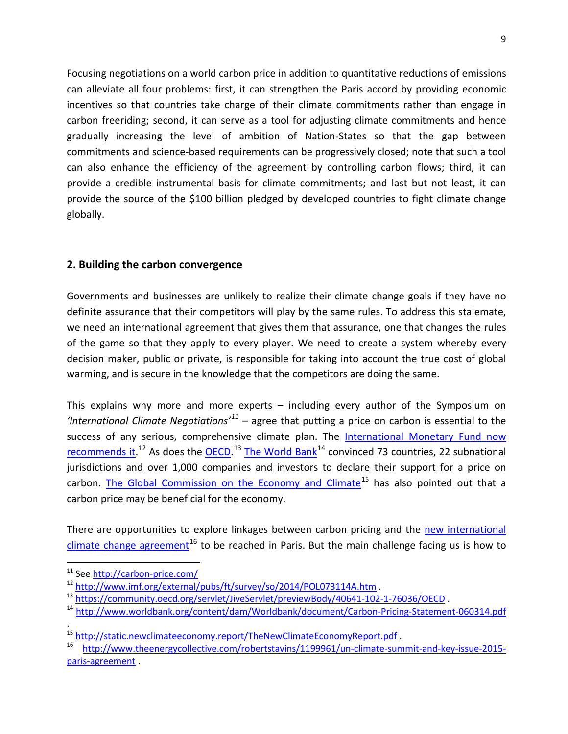Focusing negotiations on a world carbon price in addition to quantitative reductions of emissions can alleviate all four problems: first, it can strengthen the Paris accord by providing economic incentives so that countries take charge of their climate commitments rather than engage in carbon freeriding; second, it can serve as a tool for adjusting climate commitments and hence gradually increasing the level of ambition of Nation-States so that the gap between commitments and science-based requirements can be progressively closed; note that such a tool can also enhance the efficiency of the agreement by controlling carbon flows; third, it can provide a credible instrumental basis for climate commitments; and last but not least, it can provide the source of the \$100 billion pledged by developed countries to fight climate change globally.

## **2. Building the carbon convergence**

Governments and businesses are unlikely to realize their climate change goals if they have no definite assurance that their competitors will play by the same rules. To address this stalemate, we need an international agreement that gives them that assurance, one that changes the rules of the game so that they apply to every player. We need to create a system whereby every decision maker, public or private, is responsible for taking into account the true cost of global warming, and is secure in the knowledge that the competitors are doing the same.

This explains why more and more experts – including every author of the Symposium on *'International Climate Negotiations'[11](#page-9-0)* – agree that putting a price on carbon is essential to the success of any serious, comprehensive climate plan. The International Monetary Fund now [recommends it.](http://www.imf.org/external/pubs/ft/survey/so/2014/POL073114A.htm)<sup>[12](#page-9-1)</sup> As does the **OECD**.<sup>[13](#page-9-2)</sup> [The World Bank](http://www.worldbank.org/content/dam/Worldbank/document/Carbon-Pricing-Statement-060314.pdf)<sup>[14](#page-9-3)</sup> convinced 73 countries, 22 subnational jurisdictions and over 1,000 companies and investors to declare their support for a price on carbon. [The Global Commission on the Economy and Climate](http://static.newclimateeconomy.report/TheNewClimateEconomyReport.pdf)<sup>[15](#page-9-4)</sup> has also pointed out that a carbon price may be beneficial for the economy.

There are opportunities to explore linkages between carbon pricing and the [new international](http://theenergycollective.com/robertstavins/1199961/un-climate-summit-and-key-issue-2015-paris-agreement)  [climate change agreement](http://theenergycollective.com/robertstavins/1199961/un-climate-summit-and-key-issue-2015-paris-agreement)<sup>[16](#page-9-5)</sup> to be reached in Paris. But the main challenge facing us is how to

<span id="page-9-0"></span> <sup>11</sup> See<http://carbon-price.com/>

<span id="page-9-1"></span><sup>&</sup>lt;sup>12</sup> <http://www.imf.org/external/pubs/ft/survey/so/2014/POL073114A.htm>.

<span id="page-9-2"></span><sup>13</sup> <https://community.oecd.org/servlet/JiveServlet/previewBody/40641-102-1-76036/OECD> .

<span id="page-9-3"></span><sup>14</sup> <http://www.worldbank.org/content/dam/Worldbank/document/Carbon-Pricing-Statement-060314.pdf>

<sup>.</sup> <sup>15</sup> <http://static.newclimateeconomy.report/TheNewClimateEconomyReport.pdf>.

<span id="page-9-5"></span><span id="page-9-4"></span><sup>16</sup> [http://www.theenergycollective.com/robertstavins/1199961/un-climate-summit-and-key-issue-2015](http://www.theenergycollective.com/robertstavins/1199961/un-climate-summit-and-key-issue-2015-paris-agreement) [paris-agreement](http://www.theenergycollective.com/robertstavins/1199961/un-climate-summit-and-key-issue-2015-paris-agreement).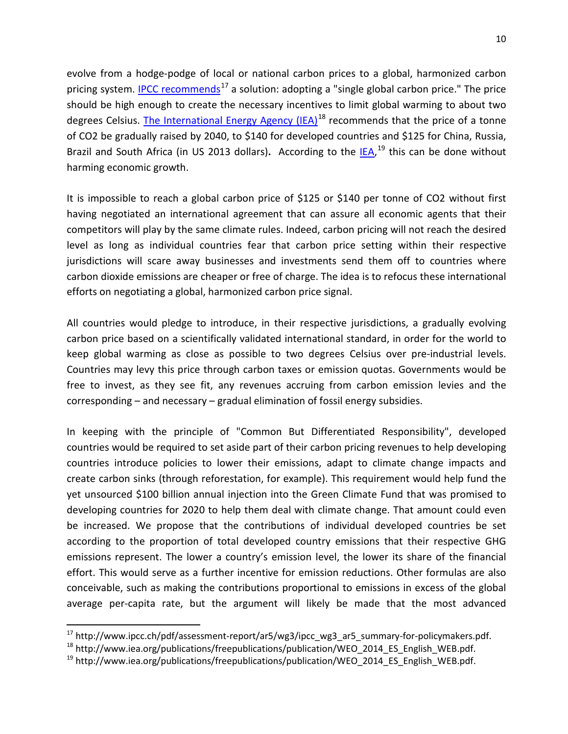evolve from a hodge-podge of local or national carbon prices to a global, harmonized carbon pricing system. [IPCC recommends](http://www.ipcc.ch/pdf/assessment-report/ar5/wg3/ipcc_wg3_ar5_summary-for-policymakers.pdf)<sup>[17](#page-10-0)</sup> a solution: adopting a "single global carbon price." The price should be high enough to create the necessary incentives to limit global warming to about two degrees Celsius. [The International Energy Agency \(IEA\)](http://www.iea.org/publications/freepublications/publication/WEO_2014_ES_English_WEB.pdf)<sup>[18](#page-10-1)</sup> recommends that the price of a tonne of CO2 be gradually raised by 2040, to \$140 for developed countries and \$125 for China, Russia, Brazil and South Africa (in US 2013 dollars). According to the **IEA**,<sup>[19](#page-10-2)</sup> this can be done without harming economic growth.

It is impossible to reach a global carbon price of \$125 or \$140 per tonne of CO2 without first having negotiated an international agreement that can assure all economic agents that their competitors will play by the same climate rules. Indeed, carbon pricing will not reach the desired level as long as individual countries fear that carbon price setting within their respective jurisdictions will scare away businesses and investments send them off to countries where carbon dioxide emissions are cheaper or free of charge. The idea is to refocus these international efforts on negotiating a global, harmonized carbon price signal.

All countries would pledge to introduce, in their respective jurisdictions, a gradually evolving carbon price based on a scientifically validated international standard, in order for the world to keep global warming as close as possible to two degrees Celsius over pre-industrial levels. Countries may levy this price through carbon taxes or emission quotas. Governments would be free to invest, as they see fit, any revenues accruing from carbon emission levies and the corresponding – and necessary – gradual elimination of fossil energy subsidies.

In keeping with the principle of "Common But Differentiated Responsibility", developed countries would be required to set aside part of their carbon pricing revenues to help developing countries introduce policies to lower their emissions, adapt to climate change impacts and create carbon sinks (through reforestation, for example). This requirement would help fund the yet unsourced \$100 billion annual injection into the Green Climate Fund that was promised to developing countries for 2020 to help them deal with climate change. That amount could even be increased. We propose that the contributions of individual developed countries be set according to the proportion of total developed country emissions that their respective GHG emissions represent. The lower a country's emission level, the lower its share of the financial effort. This would serve as a further incentive for emission reductions. Other formulas are also conceivable, such as making the contributions proportional to emissions in excess of the global average per-capita rate, but the argument will likely be made that the most advanced

<span id="page-10-0"></span><sup>&</sup>lt;sup>17</sup> http://www.ipcc.ch/pdf/assessment-report/ar5/wg3/ipcc\_wg3\_ar5\_summary-for-policymakers.pdf.

<span id="page-10-1"></span><sup>&</sup>lt;sup>18</sup> http://www.iea.org/publications/freepublications/publication/WEO\_2014\_ES\_English\_WEB.pdf.

<span id="page-10-2"></span><sup>&</sup>lt;sup>19</sup> http://www.iea.org/publications/freepublications/publication/WEO\_2014\_ES\_English\_WEB.pdf.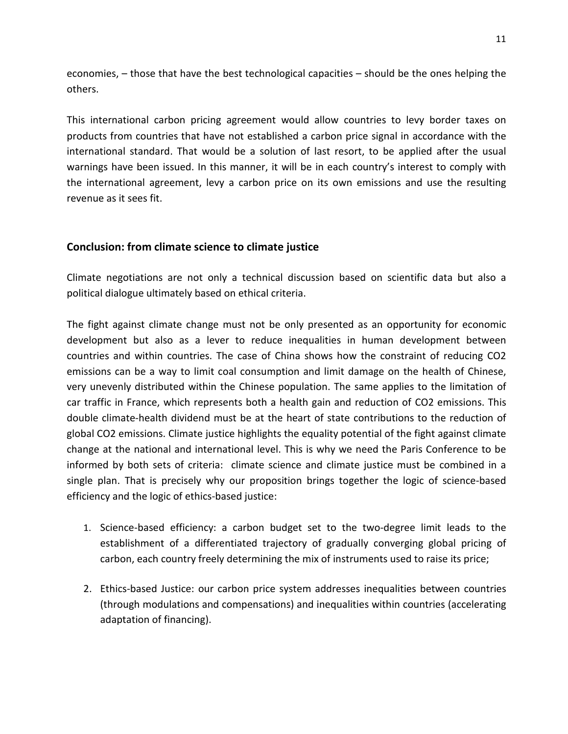economies, – those that have the best technological capacities – should be the ones helping the others.

This international carbon pricing agreement would allow countries to levy border taxes on products from countries that have not established a carbon price signal in accordance with the international standard. That would be a solution of last resort, to be applied after the usual warnings have been issued. In this manner, it will be in each country's interest to comply with the international agreement, levy a carbon price on its own emissions and use the resulting revenue as it sees fit.

### **Conclusion: from climate science to climate justice**

Climate negotiations are not only a technical discussion based on scientific data but also a political dialogue ultimately based on ethical criteria.

The fight against climate change must not be only presented as an opportunity for economic development but also as a lever to reduce inequalities in human development between countries and within countries. The case of China shows how the constraint of reducing CO2 emissions can be a way to limit coal consumption and limit damage on the health of Chinese, very unevenly distributed within the Chinese population. The same applies to the limitation of car traffic in France, which represents both a health gain and reduction of CO2 emissions. This double climate-health dividend must be at the heart of state contributions to the reduction of global CO2 emissions. Climate justice highlights the equality potential of the fight against climate change at the national and international level. This is why we need the Paris Conference to be informed by both sets of criteria: climate science and climate justice must be combined in a single plan. That is precisely why our proposition brings together the logic of science-based efficiency and the logic of ethics-based justice:

- 1. Science-based efficiency: a carbon budget set to the two-degree limit leads to the establishment of a differentiated trajectory of gradually converging global pricing of carbon, each country freely determining the mix of instruments used to raise its price;
- 2. Ethics-based Justice: our carbon price system addresses inequalities between countries (through modulations and compensations) and inequalities within countries (accelerating adaptation of financing).